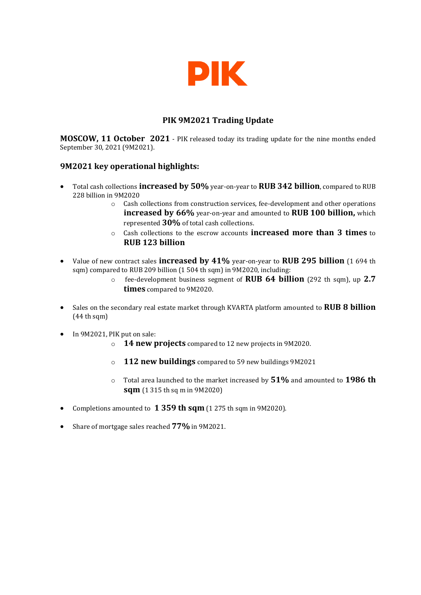

# **PIK 9M2021 Trading Update**

**MOSCOW, 11 October 2021** - PIK released today its trading update for the nine months ended September 30, 2021 (9M2021).

### **9M2021 key operational highlights:**

- Total cash collections **increased by 50%** year-on-year to **RUB 342 billion**, compared to RUB 228 billion in 9M2020
	- o Cash collections from construction services, fee-development and other operations **increased by 66%** year-on-year and amounted to **RUB 100 billion,** which represented **30%** of total cash collections.
	- o Cash collections to the escrow accounts **increased more than 3 times** to **RUB 123 billion**
- Value of new contract sales **increased by 41%** year-on-year to **RUB 295 billion** (1 694 th sqm) compared to RUB 209 billion (1 504 th sqm) in 9M2020, including:
	- o fee-development business segment of **RUB 64 billion** (292 th sqm), up **2.7 times** compared to 9M2020.
- Sales on the secondary real estate market through KVARTA platform amounted to **RUB 8 billion** (44 th sqm)
- In 9M2021, PIK put on sale:
	- o **14 new projects** compared to 12 new projects in 9M2020.
	- o **112 new buildings** compared to 59 new buildings 9M2021
	- o Total area launched to the market increased by **51%** and amounted to **1986 th sqm** (1 315 th sq m in 9M2020)
- Completions amounted to **1 359 th sqm** (1 275 th sqm in 9M2020).
- Share of mortgage sales reached **77%** in 9M2021.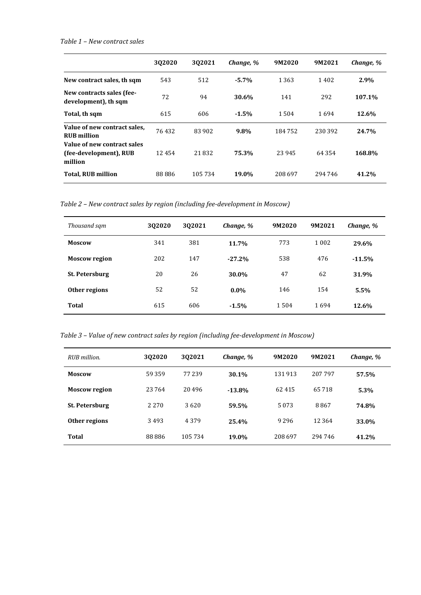### *Table 1 – New contract sales*

|                                                                  | 302020 | 302021  | Change, % | 9M2020  | 9M2021  | Change, % |
|------------------------------------------------------------------|--------|---------|-----------|---------|---------|-----------|
| New contract sales, th sqm                                       | 543    | 512     | $-5.7%$   | 1 3 6 3 | 1402    | 2.9%      |
| New contracts sales (fee-<br>development), th sqm                | 72     | 94      | 30.6%     | 141     | 292     | 107.1%    |
| Total, th sqm                                                    | 615    | 606     | $-1.5%$   | 1504    | 1694    | 12.6%     |
| Value of new contract sales,<br><b>RUB</b> million               | 76432  | 83 902  | 9.8%      | 184752  | 230 392 | 24.7%     |
| Value of new contract sales<br>(fee-development), RUB<br>million | 12454  | 21832   | 75.3%     | 23 945  | 64 3 54 | 168.8%    |
| <b>Total, RUB million</b>                                        | 88 886 | 105 734 | 19.0%     | 208 697 | 294 746 | 41.2%     |

*Table 2 – New contract sales by region (including fee-development in Moscow)*

| Thousand sqm          | 302020 | 302021 | Change, % | 9M2020 | 9M2021  | Change, % |
|-----------------------|--------|--------|-----------|--------|---------|-----------|
| <b>Moscow</b>         | 341    | 381    | 11.7%     | 773    | 1 0 0 2 | 29.6%     |
| <b>Moscow region</b>  | 202    | 147    | $-27.2%$  | 538    | 476     | $-11.5%$  |
| <b>St. Petersburg</b> | 20     | 26     | 30.0%     | 47     | 62      | 31.9%     |
| Other regions         | 52     | 52     | $0.0\%$   | 146    | 154     | 5.5%      |
| Total                 | 615    | 606    | $-1.5%$   | 1504   | 1694    | 12.6%     |

*Table 3 – Value of new contract sales by region (including fee-development in Moscow)*

| RUB million.          | 302020  | 302021  | Change, % | 9M2020   | 9M2021  | Change, % |
|-----------------------|---------|---------|-----------|----------|---------|-----------|
| <b>Moscow</b>         | 59359   | 77 239  | 30.1%     | 131913   | 207 797 | 57.5%     |
| <b>Moscow region</b>  | 23764   | 20496   | $-13.8%$  | 62 4 1 5 | 65718   | 5.3%      |
| <b>St. Petersburg</b> | 2 2 7 0 | 3620    | 59.5%     | 5 0 7 3  | 8867    | 74.8%     |
| Other regions         | 3493    | 4 3 7 9 | 25.4%     | 9 2 9 6  | 12 3 64 | 33.0%     |
| <b>Total</b>          | 88886   | 105734  | 19.0%     | 208697   | 294 746 | 41.2%     |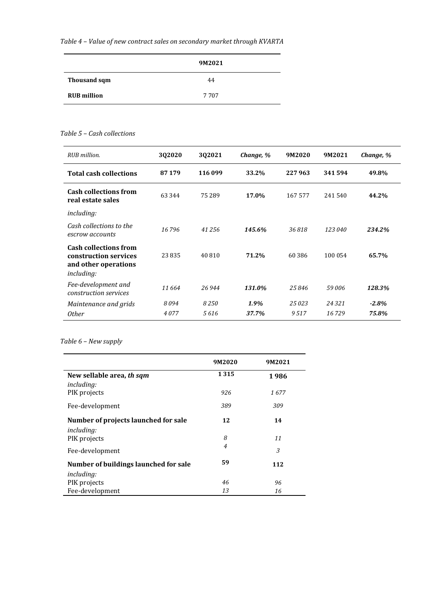*Table 4 – Value of new contract sales on secondary market through KVARTA*

|                    | 9M2021  |
|--------------------|---------|
| Thousand sqm       | 44      |
| <b>RUB</b> million | 7 7 0 7 |

### *Table 5 – Cash collections*

| RUB million.                                                                                       | 3Q2020   | 3Q2021  | Change, % | 9M2020  | 9M2021  | Change, % |
|----------------------------------------------------------------------------------------------------|----------|---------|-----------|---------|---------|-----------|
| <b>Total cash collections</b>                                                                      | 87 179   | 116 099 | 33.2%     | 227963  | 341 594 | 49.8%     |
| <b>Cash collections from</b><br>real estate sales                                                  | 63 3 4 4 | 75 289  | 17.0%     | 167 577 | 241540  | 44.2%     |
| including:                                                                                         |          |         |           |         |         |           |
| Cash collections to the<br>escrow accounts                                                         | 16796    | 41256   | 145.6%    | 36818   | 123 040 | 234.2%    |
| <b>Cash collections from</b><br>construction services<br>and other operations<br><i>including:</i> | 23835    | 40 810  | 71.2%     | 60 386  | 100 054 | 65.7%     |
| Fee-development and<br>construction services                                                       | 11 664   | 26 944  | 131.0%    | 25846   | 59006   | 128.3%    |
| Maintenance and grids                                                                              | 8094     | 8250    | 1.9%      | 25023   | 24 3 21 | $-2.8%$   |
| <b>Other</b>                                                                                       | 4077     | 5616    | 37.7%     | 9517    | 16729   | 75.8%     |

## *Table 6 – New supply*

|                                                | 9M2020         | 9M2021 |
|------------------------------------------------|----------------|--------|
| New sellable area, th sqm<br><i>including:</i> | 1315           | 1986   |
| PIK projects                                   | 926            | 1677   |
| Fee-development                                | 389            | 309    |
| Number of projects launched for sale           | 12             | 14     |
| <i>including:</i>                              |                |        |
| PIK projects                                   | 8              | 11     |
| Fee-development                                | $\overline{4}$ | 3      |
| Number of buildings launched for sale          | 59             | 112    |
| <i>including:</i>                              |                |        |
| PIK projects                                   | 46             | 96     |
| Fee-development                                | 13             | 16     |